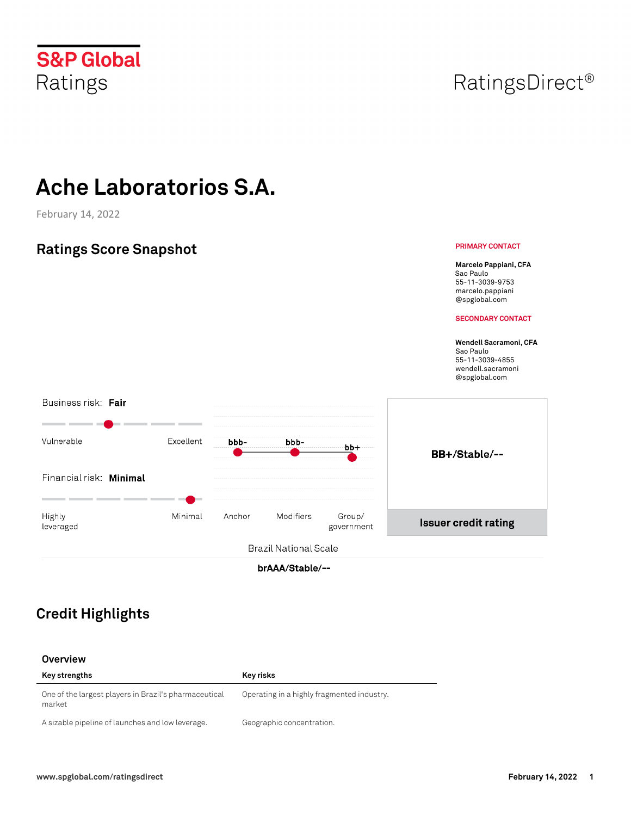# Ratings

**S&P Global** 

## **Ache Laboratorios S.A.**

February 14, 2022

#### **Ratings Score Snapshot Marcelo Pappiani, CFA** Sao Paulo 55-11-3039-9753 marcelo.pappiani @spglobal.com **SECONDARY CONTACT Wendell Sacramoni, CFA**  Sao Paulo 55-11-3039-4855 wendell.sacramoni @spglobal.com Business risk: Fair - -Vulnerable Excellent bbbbbb $bb+$ BB+/Stable/--Financial risk: Minimal Highly Minimal Anchor Modifiers Group/ **Issuer credit rating** leveraged government **Brazil National Scale**

brAAA/Stable/--

## **Credit Highlights**

|  | Overview |
|--|----------|
|  |          |

| Key strengths                                                   | Key risks                                  |
|-----------------------------------------------------------------|--------------------------------------------|
| One of the largest players in Brazil's pharmaceutical<br>market | Operating in a highly fragmented industry. |
| A sizable pipeline of launches and low leverage.                | Geographic concentration.                  |

## RatingsDirect<sup>®</sup>

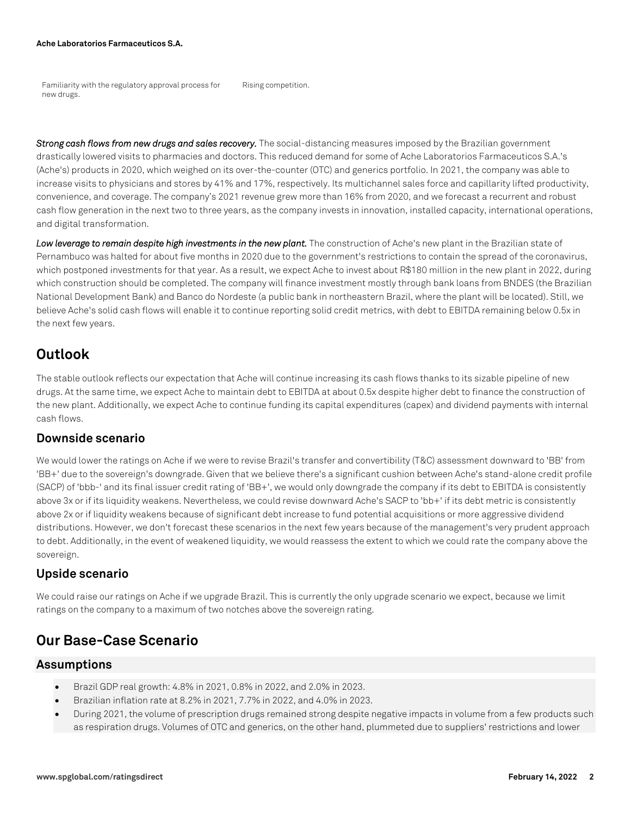Familiarity with the regulatory approval process for new drugs. Rising competition.

*Strong cash flows from new drugs and sales recovery.* The social-distancing measures imposed by the Brazilian government drastically lowered visits to pharmacies and doctors. This reduced demand for some of Ache Laboratorios Farmaceuticos S.A.'s (Ache's) products in 2020, which weighed on its over-the-counter (OTC) and generics portfolio. In 2021, the company was able to increase visits to physicians and stores by 41% and 17%, respectively. Its multichannel sales force and capillarity lifted productivity, convenience, and coverage. The company's 2021 revenue grew more than 16% from 2020, and we forecast a recurrent and robust cash flow generation in the next two to three years, as the company invests in innovation, installed capacity, international operations, and digital transformation.

Low leverage to remain despite high investments in the new plant. The construction of Ache's new plant in the Brazilian state of Pernambuco was halted for about five months in 2020 due to the government's restrictions to contain the spread of the coronavirus, which postponed investments for that year. As a result, we expect Ache to invest about R\$180 million in the new plant in 2022, during which construction should be completed. The company will finance investment mostly through bank loans from BNDES (the Brazilian National Development Bank) and Banco do Nordeste (a public bank in northeastern Brazil, where the plant will be located). Still, we believe Ache's solid cash flows will enable it to continue reporting solid credit metrics, with debt to EBITDA remaining below 0.5x in the next few years.

## **Outlook**

The stable outlook reflects our expectation that Ache will continue increasing its cash flows thanks to its sizable pipeline of new drugs. At the same time, we expect Ache to maintain debt to EBITDA at about 0.5x despite higher debt to finance the construction of the new plant. Additionally, we expect Ache to continue funding its capital expenditures (capex) and dividend payments with internal cash flows.

### **Downside scenario**

We would lower the ratings on Ache if we were to revise Brazil's transfer and convertibility (T&C) assessment downward to 'BB' from 'BB+' due to the sovereign's downgrade. Given that we believe there's a significant cushion between Ache's stand-alone credit profile (SACP) of 'bbb-' and its final issuer credit rating of 'BB+', we would only downgrade the company if its debt to EBITDA is consistently above 3x or if its liquidity weakens. Nevertheless, we could revise downward Ache's SACP to 'bb+' if its debt metric is consistently above 2x or if liquidity weakens because of significant debt increase to fund potential acquisitions or more aggressive dividend distributions. However, we don't forecast these scenarios in the next few years because of the management's very prudent approach to debt. Additionally, in the event of weakened liquidity, we would reassess the extent to which we could rate the company above the sovereign.

## **Upside scenario**

We could raise our ratings on Ache if we upgrade Brazil. This is currently the only upgrade scenario we expect, because we limit ratings on the company to a maximum of two notches above the sovereign rating.

## **Our Base-Case Scenario**

#### **Assumptions**

- Brazil GDP real growth: 4.8% in 2021, 0.8% in 2022, and 2.0% in 2023.
- Brazilian inflation rate at 8.2% in 2021, 7.7% in 2022, and 4.0% in 2023.
- During 2021, the volume of prescription drugs remained strong despite negative impacts in volume from a few products such as respiration drugs. Volumes of OTC and generics, on the other hand, plummeted due to suppliers' restrictions and lower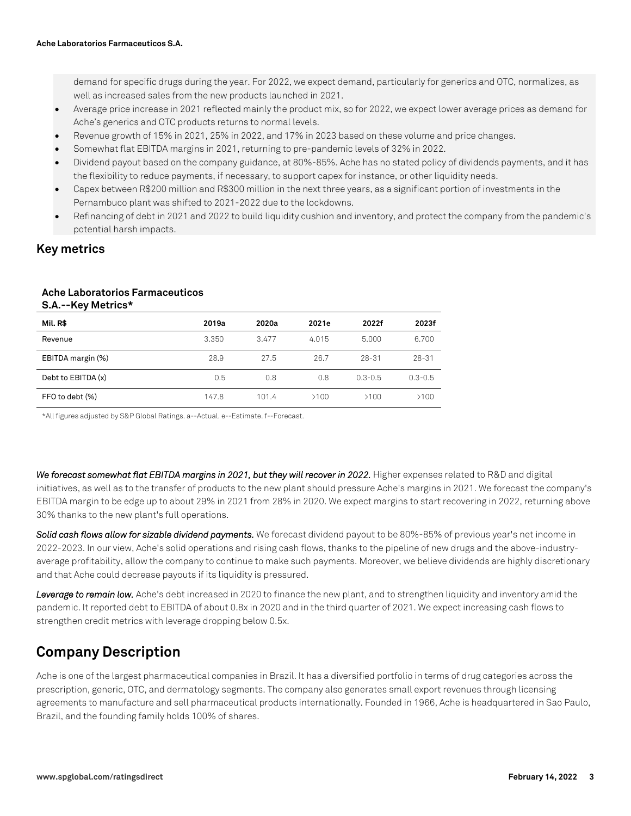demand for specific drugs during the year. For 2022, we expect demand, particularly for generics and OTC, normalizes, as well as increased sales from the new products launched in 2021.

- Average price increase in 2021 reflected mainly the product mix, so for 2022, we expect lower average prices as demand for Ache's generics and OTC products returns to normal levels.
- Revenue growth of 15% in 2021, 25% in 2022, and 17% in 2023 based on these volume and price changes.
- Somewhat flat EBITDA margins in 2021, returning to pre-pandemic levels of 32% in 2022.
- Dividend payout based on the company guidance, at 80%-85%. Ache has no stated policy of dividends payments, and it has the flexibility to reduce payments, if necessary, to support capex for instance, or other liquidity needs.
- Capex between R\$200 million and R\$300 million in the next three years, as a significant portion of investments in the Pernambuco plant was shifted to 2021-2022 due to the lockdowns.
- Refinancing of debt in 2021 and 2022 to build liquidity cushion and inventory, and protect the company from the pandemic's potential harsh impacts.

### **Key metrics**

#### **Ache Laboratorios Farmaceuticos S.A.--Key Metrics\***

| Mil. R\$           | 2019a | 2020a | 2021e | 2022f       | 2023f       |
|--------------------|-------|-------|-------|-------------|-------------|
| Revenue            | 3.350 | 3.477 | 4.015 | 5.000       | 6.700       |
| EBITDA margin (%)  | 28.9  | 27.5  | 26.7  | 28-31       | $28 - 31$   |
| Debt to EBITDA (x) | 0.5   | 0.8   | 0.8   | $0.3 - 0.5$ | $0.3 - 0.5$ |
| FFO to debt (%)    | 147.8 | 101.4 | >100  | >100        | >100        |

\*All figures adjusted by S&P Global Ratings. a--Actual. e--Estimate. f--Forecast.

We forecast somewhat flat EBITDA margins in 2021, but they will recover in 2022. Higher expenses related to R&D and digital initiatives, as well as to the transfer of products to the new plant should pressure Ache's margins in 2021. We forecast the company's EBITDA margin to be edge up to about 29% in 2021 from 28% in 2020. We expect margins to start recovering in 2022, returning above 30% thanks to the new plant's full operations.

**Solid cash flows allow for sizable dividend payments.** We forecast dividend payout to be 80%-85% of previous year's net income in 2022-2023. In our view, Ache's solid operations and rising cash flows, thanks to the pipeline of new drugs and the above-industryaverage profitability, allow the company to continue to make such payments. Moreover, we believe dividends are highly discretionary and that Ache could decrease payouts if its liquidity is pressured.

Leverage to remain low. Ache's debt increased in 2020 to finance the new plant, and to strengthen liquidity and inventory amid the pandemic. It reported debt to EBITDA of about 0.8x in 2020 and in the third quarter of 2021. We expect increasing cash flows to strengthen credit metrics with leverage dropping below 0.5x.

## **Company Description**

Ache is one of the largest pharmaceutical companies in Brazil. It has a diversified portfolio in terms of drug categories across the prescription, generic, OTC, and dermatology segments. The company also generates small export revenues through licensing agreements to manufacture and sell pharmaceutical products internationally. Founded in 1966, Ache is headquartered in Sao Paulo, Brazil, and the founding family holds 100% of shares.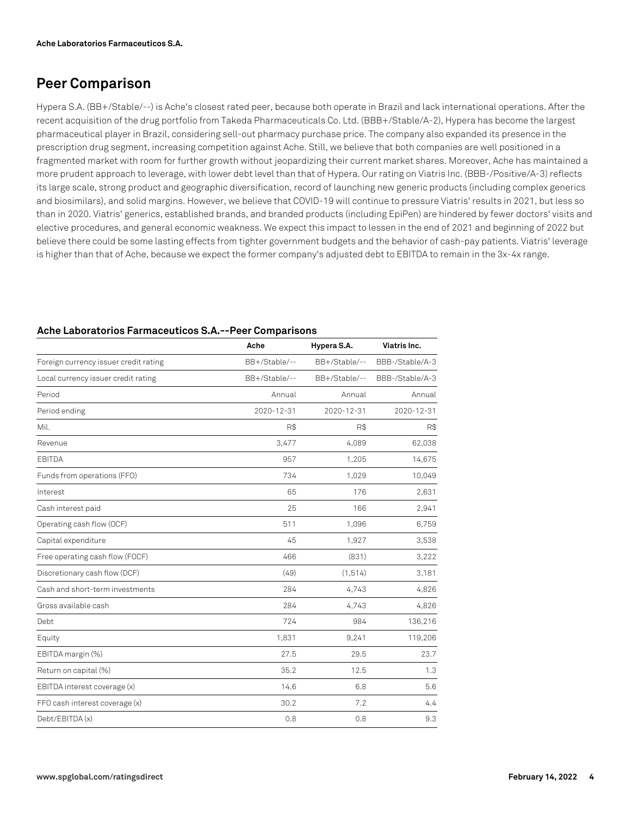## **Peer Comparison**

Hypera S.A. (BB+/Stable/--) is Ache's closest rated peer, because both operate in Brazil and lack international operations. After the recent acquisition of the drug portfolio from Takeda Pharmaceuticals Co. Ltd. (BBB+/Stable/A-2), Hypera has become the largest pharmaceutical player in Brazil, considering sell-out pharmacy purchase price. The company also expanded its presence in the prescription drug segment, increasing competition against Ache. Still, we believe that both companies are well positioned in a fragmented market with room for further growth without jeopardizing their current market shares. Moreover, Ache has maintained a more prudent approach to leverage, with lower debt level than that of Hypera. Our rating on Viatris Inc. (BBB-/Positive/A-3) reflects its large scale, strong product and geographic diversification, record of launching new generic products (including complex generics and biosimilars), and solid margins. However, we believe that COVID-19 will continue to pressure Viatris' results in 2021, but less so than in 2020. Viatris' generics, established brands, and branded products (including EpiPen) are hindered by fewer doctors' visits and elective procedures, and general economic weakness. We expect this impact to lessen in the end of 2021 and beginning of 2022 but believe there could be some lasting effects from tighter government budgets and the behavior of cash-pay patients. Viatris' leverage is higher than that of Ache, because we expect the former company's adjusted debt to EBITDA to remain in the 3x-4x range.

|                                       | Ache          | Hypera S.A.   | Viatris Inc.    |
|---------------------------------------|---------------|---------------|-----------------|
| Foreign currency issuer credit rating | BB+/Stable/-- | BB+/Stable/-- | BBB-/Stable/A-3 |
| Local currency issuer credit rating   | BB+/Stable/-- | BB+/Stable/-- | BBB-/Stable/A-3 |
| Period                                | Annual        | Annual        | Annual          |
| Period ending                         | 2020-12-31    | 2020-12-31    | 2020-12-31      |
| Mil.                                  | R\$           | R\$           | R\$             |
| Revenue                               | 3,477         | 4,089         | 62,038          |
| EBITDA                                | 957           | 1,205         | 14,675          |
| Funds from operations (FFO)           | 734           | 1,029         | 10,049          |
| Interest                              | 65            | 176           | 2,631           |
| Cash interest paid                    | 25            | 166           | 2,941           |
| Operating cash flow (OCF)             | 511           | 1,096         | 6,759           |
| Capital expenditure                   | 45            | 1,927         | 3,538           |
| Free operating cash flow (FOCF)       | 466           | (831)         | 3,222           |
| Discretionary cash flow (DCF)         | (49)          | (1, 514)      | 3,181           |
| Cash and short-term investments       | 284           | 4.743         | 4,826           |
| Gross available cash                  | 284           | 4,743         | 4,826           |
| Debt                                  | 724           | 984           | 136,216         |
| Equity                                | 1,831         | 9,241         | 119,206         |
| EBITDA margin (%)                     | 27.5          | 29.5          | 23.7            |
| Return on capital (%)                 | 35.2          | 12.5          | 1.3             |
| EBITDA interest coverage (x)          | 14.6          | 6.8           | 5.6             |
| FFO cash interest coverage (x)        | 30.2          | 7.2           | 4.4             |
| Debt/EBITDA (x)                       | 0.8           | 0.8           | 9.3             |

#### **Ache Laboratorios Farmaceuticos S.A.--Peer Comparisons**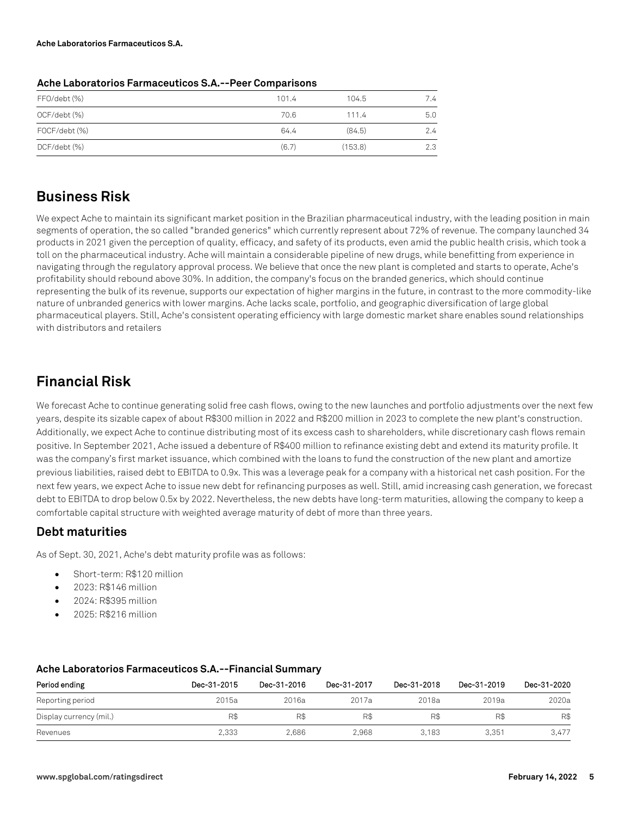| FFO/debt (%)  | 101.4 | 104.5   | 7.4 |
|---------------|-------|---------|-----|
| OCF/debt (%)  | 70.6  | 111.4   | 5.0 |
| FOCF/debt (%) | 64.4  | (84.5)  | 2.4 |
| DCF/debt (%)  | (6.7) | (153.8) | 2.3 |
|               |       |         |     |

#### **Ache Laboratorios Farmaceuticos S.A.--Peer Comparisons**

## **Business Risk**

We expect Ache to maintain its significant market position in the Brazilian pharmaceutical industry, with the leading position in main segments of operation, the so called "branded generics" which currently represent about 72% of revenue. The company launched 34 products in 2021 given the perception of quality, efficacy, and safety of its products, even amid the public health crisis, which took a toll on the pharmaceutical industry. Ache will maintain a considerable pipeline of new drugs, while benefitting from experience in navigating through the regulatory approval process. We believe that once the new plant is completed and starts to operate, Ache's profitability should rebound above 30%. In addition, the company's focus on the branded generics, which should continue representing the bulk of its revenue, supports our expectation of higher margins in the future, in contrast to the more commodity-like nature of unbranded generics with lower margins. Ache lacks scale, portfolio, and geographic diversification of large global pharmaceutical players. Still, Ache's consistent operating efficiency with large domestic market share enables sound relationships with distributors and retailers

## **Financial Risk**

We forecast Ache to continue generating solid free cash flows, owing to the new launches and portfolio adjustments over the next few years, despite its sizable capex of about R\$300 million in 2022 and R\$200 million in 2023 to complete the new plant's construction. Additionally, we expect Ache to continue distributing most of its excess cash to shareholders, while discretionary cash flows remain positive. In September 2021, Ache issued a debenture of R\$400 million to refinance existing debt and extend its maturity profile. It was the company's first market issuance, which combined with the loans to fund the construction of the new plant and amortize previous liabilities, raised debt to EBITDA to 0.9x. This was a leverage peak for a company with a historical net cash position. For the next few years, we expect Ache to issue new debt for refinancing purposes as well. Still, amid increasing cash generation, we forecast debt to EBITDA to drop below 0.5x by 2022. Nevertheless, the new debts have long-term maturities, allowing the company to keep a comfortable capital structure with weighted average maturity of debt of more than three years.

## **Debt maturities**

As of Sept. 30, 2021, Ache's debt maturity profile was as follows:

- Short-term: R\$120 million
- 2023: R\$146 million
- 2024: R\$395 million
- 2025: R\$216 million

| Period ending           | Dec-31-2015 | Dec-31-2016 | Dec-31-2017 | Dec-31-2018 | Dec-31-2019 | Dec-31-2020 |
|-------------------------|-------------|-------------|-------------|-------------|-------------|-------------|
| Reporting period        | 2015a       | 2016a       | 2017a       | 2018a       | 2019a       | 2020a       |
| Display currency (mil.) | R\$         | R\$         | R\$         | R\$         | R\$         | R\$         |
| Revenues                | 2,333       | 2.686       | 2.968       | 3.183       | 3.351       | 3.477       |

#### **Ache Laboratorios Farmaceuticos S.A.--Financial Summary**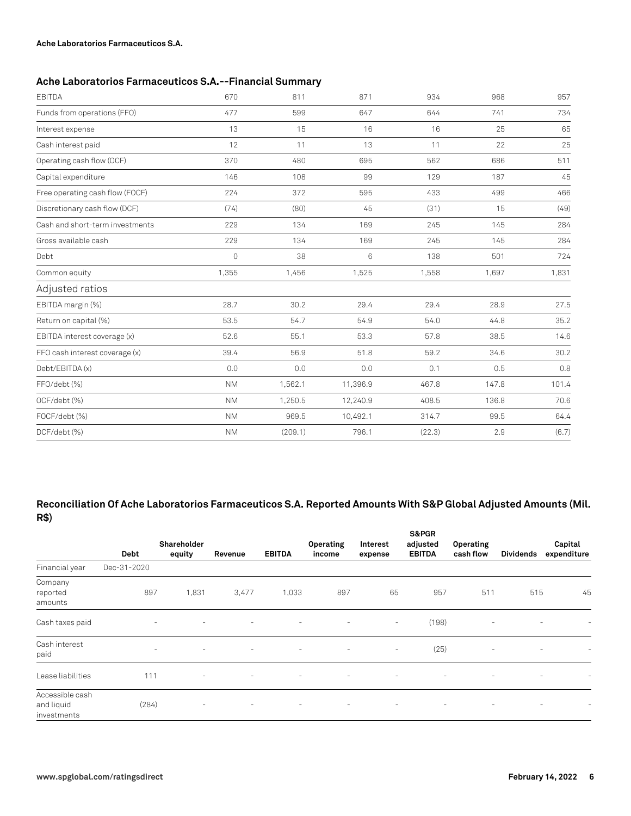#### **Ache Laboratorios Farmaceuticos S.A.--Financial Summary**

| <b>EBITDA</b>                   | 670                 | 811     | 871             | 934    | 968   | 957   |
|---------------------------------|---------------------|---------|-----------------|--------|-------|-------|
| Funds from operations (FFO)     | 477                 | 599     | 647             | 644    | 741   | 734   |
| Interest expense                | 13                  | 15      | 16              | 16     | 25    | 65    |
| Cash interest paid              | 12                  | 11      | 13              | 11     | 22    | 25    |
| Operating cash flow (OCF)       | 370                 | 480     | 695             | 562    | 686   | 511   |
| Capital expenditure             | 146                 | 108     | 99              | 129    | 187   | 45    |
| Free operating cash flow (FOCF) | 224                 | 372     | 595             | 433    | 499   | 466   |
| Discretionary cash flow (DCF)   | (74)                | (80)    | 45              | (31)   | 15    | (49)  |
| Cash and short-term investments | 229                 | 134     | 169             | 245    | 145   | 284   |
| Gross available cash            | 229                 | 134     | 169             | 245    | 145   | 284   |
| Debt                            | $\mathsf{O}\xspace$ | 38      | $6\phantom{1}6$ | 138    | 501   | 724   |
| Common equity                   | 1,355               | 1,456   | 1,525           | 1,558  | 1,697 | 1,831 |
| Adjusted ratios                 |                     |         |                 |        |       |       |
| EBITDA margin (%)               | 28.7                | 30.2    | 29.4            | 29.4   | 28.9  | 27.5  |
| Return on capital (%)           | 53.5                | 54.7    | 54.9            | 54.0   | 44.8  | 35.2  |
| EBITDA interest coverage (x)    | 52.6                | 55.1    | 53.3            | 57.8   | 38.5  | 14.6  |
| FFO cash interest coverage (x)  | 39.4                | 56.9    | 51.8            | 59.2   | 34.6  | 30.2  |
| Debt/EBITDA (x)                 | 0.0                 | 0.0     | 0.0             | 0.1    | 0.5   | 0.8   |
| FFO/debt (%)                    | <b>NM</b>           | 1,562.1 | 11,396.9        | 467.8  | 147.8 | 101.4 |
| OCF/debt (%)                    | <b>NM</b>           | 1,250.5 | 12,240.9        | 408.5  | 136.8 | 70.6  |
| FOCF/debt (%)                   | NM.                 | 969.5   | 10,492.1        | 314.7  | 99.5  | 64.4  |
| DCF/debt (%)                    | <b>NM</b>           | (209.1) | 796.1           | (22.3) | 2.9   | (6.7) |

#### **Reconciliation Of Ache Laboratorios Farmaceuticos S.A. Reported Amounts With S&P Global Adjusted Amounts (Mil. R\$)**

|                                              |                          |                          |                          |                          |                          |                          | <b>S&amp;PGR</b>          |                          |                          |                        |
|----------------------------------------------|--------------------------|--------------------------|--------------------------|--------------------------|--------------------------|--------------------------|---------------------------|--------------------------|--------------------------|------------------------|
|                                              | Debt                     | Shareholder<br>equity    | Revenue                  | <b>EBITDA</b>            | Operating<br>income      | Interest<br>expense      | adjusted<br><b>EBITDA</b> | Operating<br>cash flow   | <b>Dividends</b>         | Capital<br>expenditure |
| Financial year                               | Dec-31-2020              |                          |                          |                          |                          |                          |                           |                          |                          |                        |
| Company<br>reported<br>amounts               | 897                      | 1,831                    | 3,477                    | 1,033                    | 897                      | 65                       | 957                       | 511                      | 515                      | 45                     |
| Cash taxes paid                              | $\overline{\phantom{a}}$ | $\overline{\phantom{a}}$ | $\sim$                   | $\overline{\phantom{a}}$ | -                        | $\overline{\phantom{a}}$ | (198)                     | $\overline{\phantom{a}}$ | $\overline{\phantom{a}}$ | ۰                      |
| Cash interest<br>paid                        | ٠                        | $\sim$                   | $\sim$                   | $\overline{\phantom{a}}$ | $\overline{\phantom{0}}$ | $\overline{\phantom{a}}$ | (25)                      | $\sim$                   | $\equiv$                 | ۰                      |
| Lease liabilities                            | 111                      | $\overline{\phantom{a}}$ | $\overline{\phantom{a}}$ | $\overline{\phantom{a}}$ | -                        | ٠                        |                           |                          |                          |                        |
| Accessible cash<br>and liquid<br>investments | (284)                    | $\overline{\phantom{a}}$ | $\overline{\phantom{a}}$ | $\overline{\phantom{a}}$ | $\overline{\phantom{a}}$ | ٠                        |                           |                          |                          |                        |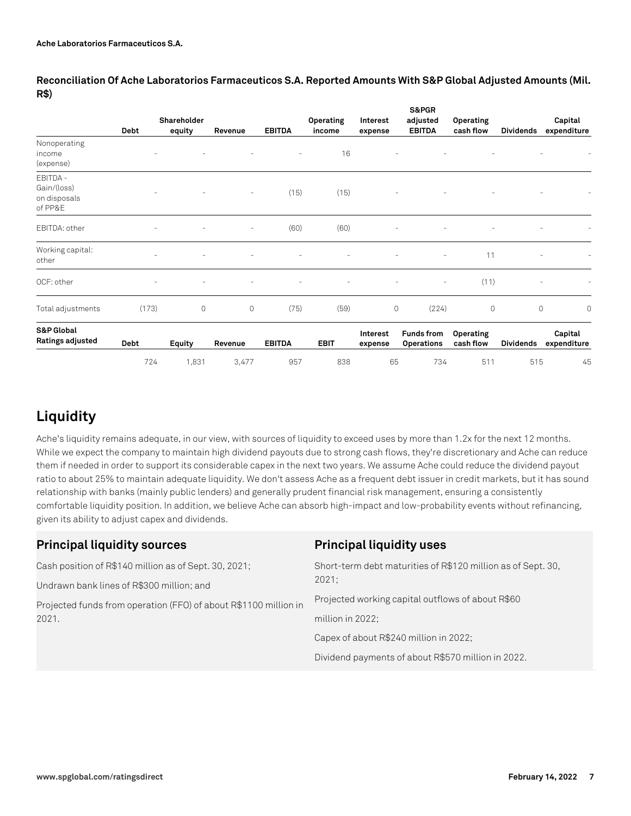|                                                    | <b>Debt</b>              | Shareholder<br>equity    | Revenue | <b>EBITDA</b> | Operating<br>income | Interest<br>expense | S&PGR<br>adjusted<br><b>EBITDA</b>     | Operating<br>cash flow | <b>Dividends</b> | Capital<br>expenditure |
|----------------------------------------------------|--------------------------|--------------------------|---------|---------------|---------------------|---------------------|----------------------------------------|------------------------|------------------|------------------------|
| Nonoperating<br>income<br>(expense)                |                          |                          |         |               | 16                  |                     |                                        |                        |                  |                        |
| EBITDA -<br>Gain/(loss)<br>on disposals<br>of PP&E |                          |                          | ٠       | (15)          | (15)                |                     |                                        |                        |                  |                        |
| EBITDA: other                                      | $\overline{\phantom{a}}$ | $\overline{\phantom{a}}$ | ٠       | (60)          | (60)                |                     | ۰                                      |                        |                  |                        |
| Working capital:<br>other                          | ٠                        |                          |         |               |                     |                     |                                        | 11                     |                  | ۰                      |
| OCF: other                                         | -                        |                          |         |               |                     |                     | $\sim$                                 | (11)                   |                  | ۰                      |
| Total adjustments                                  | (173)                    | $\circ$                  | 0       | (75)          | (59)                |                     | $\circ$<br>(224)                       | $\circ$                |                  | $\circ$<br>0           |
| <b>S&amp;P Global</b><br>Ratings adjusted          | Debt                     | Equity                   | Revenue | <b>EBITDA</b> | <b>EBIT</b>         | Interest<br>expense | <b>Funds from</b><br><b>Operations</b> | Operating<br>cash flow | <b>Dividends</b> | Capital<br>expenditure |
|                                                    | 724                      | 1,831                    | 3,477   | 957           | 838                 | 65                  | 734                                    | 511                    | 515              | 45                     |

**Reconciliation Of Ache Laboratorios Farmaceuticos S.A. Reported Amounts With S&P Global Adjusted Amounts (Mil. R\$)**

## **Liquidity**

Ache's liquidity remains adequate, in our view, with sources of liquidity to exceed uses by more than 1.2x for the next 12 months. While we expect the company to maintain high dividend payouts due to strong cash flows, they're discretionary and Ache can reduce them if needed in order to support its considerable capex in the next two years. We assume Ache could reduce the dividend payout ratio to about 25% to maintain adequate liquidity. We don't assess Ache as a frequent debt issuer in credit markets, but it has sound relationship with banks (mainly public lenders) and generally prudent financial risk management, ensuring a consistently comfortable liquidity position. In addition, we believe Ache can absorb high-impact and low-probability events without refinancing, given its ability to adjust capex and dividends.

| <b>Principal liquidity sources</b>                               | <b>Principal liquidity uses</b>                                       |  |  |
|------------------------------------------------------------------|-----------------------------------------------------------------------|--|--|
| Cash position of R\$140 million as of Sept. 30, 2021;            | Short-term debt maturities of R\$120 million as of Sept. 30,<br>2021: |  |  |
| Undrawn bank lines of R\$300 million; and                        |                                                                       |  |  |
| Projected funds from operation (FFO) of about R\$1100 million in | Projected working capital outflows of about R\$60                     |  |  |
| 2021.                                                            | million in 2022;                                                      |  |  |
|                                                                  | Capex of about R\$240 million in 2022;                                |  |  |
|                                                                  | Dividend payments of about R\$570 million in 2022.                    |  |  |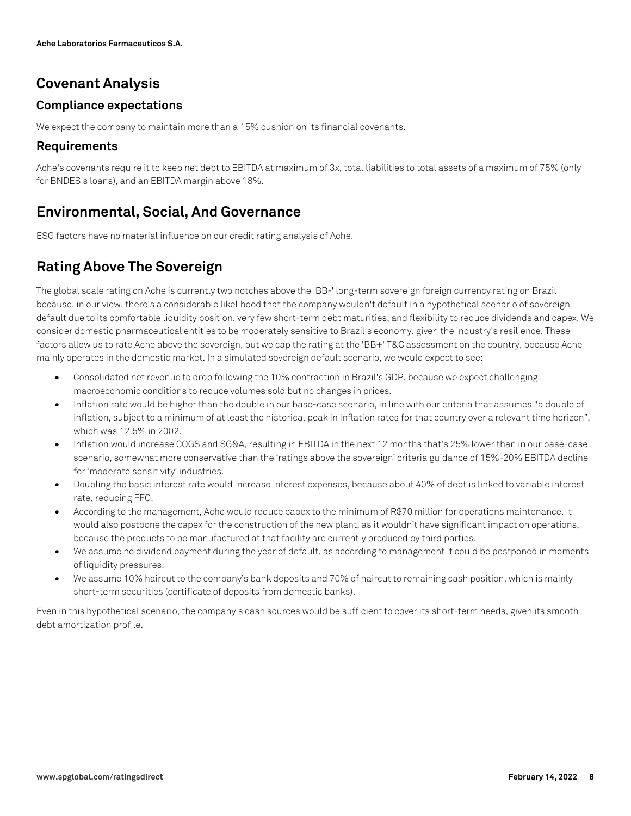## **Covenant Analysis**

## **Compliance expectations**

We expect the company to maintain more than a 15% cushion on its financial covenants.

## **Requirements**

Ache's covenants require it to keep net debt to EBITDA at maximum of 3x, total liabilities to total assets of a maximum of 75% (only for BNDES's loans), and an EBITDA margin above 18%.

## **Environmental, Social, And Governance**

ESG factors have no material influence on our credit rating analysis of Ache.

## **Rating Above The Sovereign**

The global scale rating on Ache is currently two notches above the 'BB-' long-term sovereign foreign currency rating on Brazil because, in our view, there's a considerable likelihood that the company wouldn't default in a hypothetical scenario of sovereign default due to its comfortable liquidity position, very few short-term debt maturities, and flexibility to reduce dividends and capex. We consider domestic pharmaceutical entities to be moderately sensitive to Brazil's economy, given the industry's resilience. These factors allow us to rate Ache above the sovereign, but we cap the rating at the 'BB+' T&C assessment on the country, because Ache mainly operates in the domestic market. In a simulated sovereign default scenario, we would expect to see:

- Consolidated net revenue to drop following the 10% contraction in Brazil's GDP, because we expect challenging macroeconomic conditions to reduce volumes sold but no changes in prices.
- Inflation rate would be higher than the double in our base-case scenario, in line with our criteria that assumes "a double of inflation, subject to a minimum of at least the historical peak in inflation rates for that country over a relevant time horizon", which was 12.5% in 2002.
- Inflation would increase COGS and SG&A, resulting in EBITDA in the next 12 months that's 25% lower than in our base-case scenario, somewhat more conservative than the 'ratings above the sovereign' criteria guidance of 15%-20% EBITDA decline for 'moderate sensitivity' industries.
- Doubling the basic interest rate would increase interest expenses, because about 40% of debt is linked to variable interest rate, reducing FFO.
- According to the management, Ache would reduce capex to the minimum of R\$70 million for operations maintenance. It would also postpone the capex for the construction of the new plant, as it wouldn't have significant impact on operations, because the products to be manufactured at that facility are currently produced by third parties.
- We assume no dividend payment during the year of default, as according to management it could be postponed in moments of liquidity pressures.
- We assume 10% haircut to the company's bank deposits and 70% of haircut to remaining cash position, which is mainly short-term securities (certificate of deposits from domestic banks).

Even in this hypothetical scenario, the company's cash sources would be sufficient to cover its short-term needs, given its smooth debt amortization profile.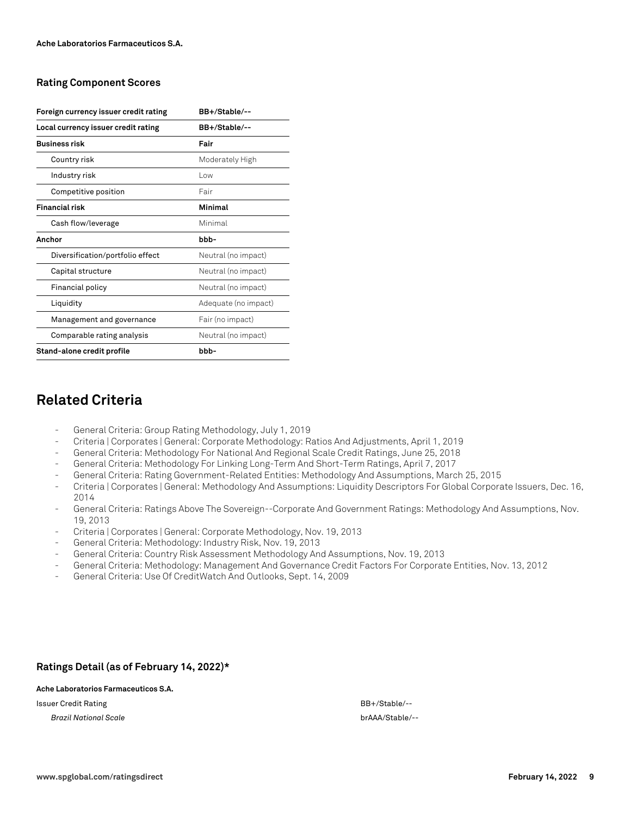#### **Rating Component Scores**

| Foreign currency issuer credit rating | BB+/Stable/--        |
|---------------------------------------|----------------------|
| Local currency issuer credit rating   | BB+/Stable/--        |
| <b>Business risk</b>                  | Fair                 |
| Country risk                          | Moderately High      |
| Industry risk                         | l ow                 |
| Competitive position                  | Fair                 |
| <b>Financial risk</b>                 | Minimal              |
| Cash flow/leverage                    | Minimal              |
| Anchor                                | hhh-                 |
| Diversification/portfolio effect      | Neutral (no impact)  |
| Capital structure                     | Neutral (no impact)  |
| Financial policy                      | Neutral (no impact)  |
| Liquidity                             | Adequate (no impact) |
| Management and governance             | Fair (no impact)     |
| Comparable rating analysis            | Neutral (no impact)  |
| Stand-alone credit profile            | bbb-                 |

## **Related Criteria**

- General Criteria: Group Rating Methodology, July 1, 2019
- Criteria | Corporates | General: Corporate Methodology: Ratios And Adjustments, April 1, 2019
- General Criteria: Methodology For National And Regional Scale Credit Ratings, June 25, 2018
- General Criteria: Methodology For Linking Long-Term And Short-Term Ratings, April 7, 2017
- General Criteria: Rating Government-Related Entities: Methodology And Assumptions, March 25, 2015
- Criteria | Corporates | General: Methodology And Assumptions: Liquidity Descriptors For Global Corporate Issuers, Dec. 16, 2014
- General Criteria: Ratings Above The Sovereign--Corporate And Government Ratings: Methodology And Assumptions, Nov. 19, 2013
- Criteria | Corporates | General: Corporate Methodology, Nov. 19, 2013
- General Criteria: Methodology: Industry Risk, Nov. 19, 2013
- General Criteria: Country Risk Assessment Methodology And Assumptions, Nov. 19, 2013
- General Criteria: Methodology: Management And Governance Credit Factors For Corporate Entities, Nov. 13, 2012
- General Criteria: Use Of CreditWatch And Outlooks, Sept. 14, 2009

#### **Ratings Detail (as of February 14, 2022)\***

#### **Ache Laboratorios Farmaceuticos S.A.**

Issuer Credit Rating BB+/Stable/--

*Brazil National Scale* brAAA/Stable/--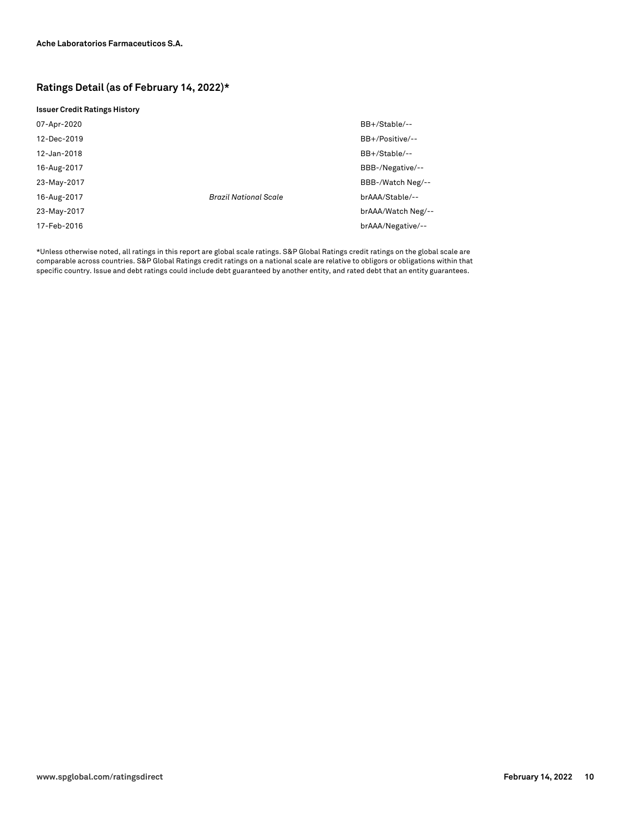#### **Ratings Detail (as of February 14, 2022)\***

#### **Issuer Credit Ratings History**

| 07-Apr-2020 |                              | BB+/Stable/--      |
|-------------|------------------------------|--------------------|
| 12-Dec-2019 |                              | BB+/Positive/--    |
| 12-Jan-2018 |                              | BB+/Stable/--      |
| 16-Aug-2017 |                              | BBB-/Negative/--   |
| 23-May-2017 |                              | BBB-/Watch Neg/--  |
| 16-Aug-2017 | <b>Brazil National Scale</b> | brAAA/Stable/--    |
| 23-May-2017 |                              | brAAA/Watch Neg/-- |
| 17-Feb-2016 |                              | brAAA/Negative/--  |

\*Unless otherwise noted, all ratings in this report are global scale ratings. S&P Global Ratings credit ratings on the global scale are comparable across countries. S&P Global Ratings credit ratings on a national scale are relative to obligors or obligations within that specific country. Issue and debt ratings could include debt guaranteed by another entity, and rated debt that an entity guarantees.